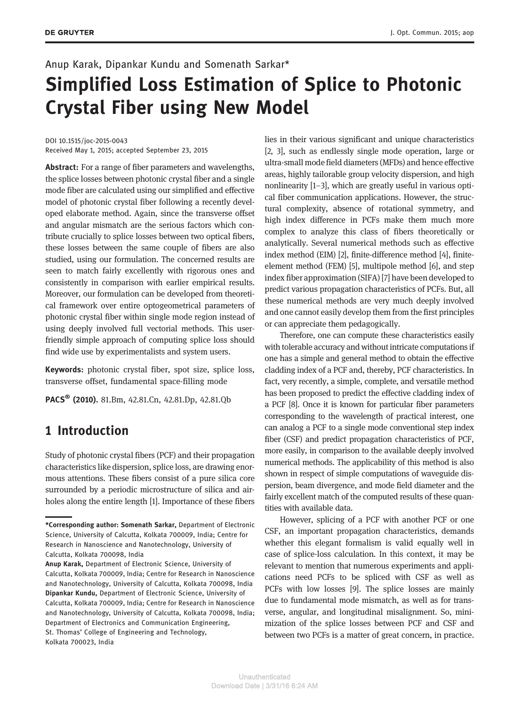## Anup Karak, Dipankar Kundu and Somenath Sarkar\*

# Simplified Loss Estimation of Splice to Photonic Crystal Fiber using New Model

DOI 10.1515/joc-2015-0043 Received May 1, 2015; accepted September 23, 2015

Abstract: For a range of fiber parameters and wavelengths, the splice losses between photonic crystal fiber and a single mode fiber are calculated using our simplified and effective model of photonic crystal fiber following a recently developed elaborate method. Again, since the transverse offset and angular mismatch are the serious factors which contribute crucially to splice losses between two optical fibers, these losses between the same couple of fibers are also studied, using our formulation. The concerned results are seen to match fairly excellently with rigorous ones and consistently in comparison with earlier empirical results. Moreover, our formulation can be developed from theoretical framework over entire optogeometrical parameters of photonic crystal fiber within single mode region instead of using deeply involved full vectorial methods. This userfriendly simple approach of computing splice loss should find wide use by experimentalists and system users.

Keywords: photonic crystal fiber, spot size, splice loss, transverse offset, fundamental space-filling mode

PACS<sup>®</sup> (2010). 81.Bm, 42.81.Cn, 42.81.Dp, 42.81.Qb

# 1 Introduction

Study of photonic crystal fibers (PCF) and their propagation characteristics like dispersion, splice loss, are drawing enormous attentions. These fibers consist of a pure silica core surrounded by a periodic microstructure of silica and airholes along the entire length [1]. Importance of these fibers lies in their various significant and unique characteristics [2, 3], such as endlessly single mode operation, large or ultra-small mode field diameters (MFDs) and hence effective areas, highly tailorable group velocity dispersion, and high nonlinearity [1–3], which are greatly useful in various optical fiber communication applications. However, the structural complexity, absence of rotational symmetry, and high index difference in PCFs make them much more complex to analyze this class of fibers theoretically or analytically. Several numerical methods such as effective index method (EIM) [2], finite-difference method [4], finiteelement method (FEM) [5], multipole method [6], and step index fiber approximation (SIFA) [7] have been developed to predict various propagation characteristics of PCFs. But, all these numerical methods are very much deeply involved and one cannot easily develop them from the first principles or can appreciate them pedagogically.

Therefore, one can compute these characteristics easily with tolerable accuracy and without intricate computations if one has a simple and general method to obtain the effective cladding index of a PCF and, thereby, PCF characteristics. In fact, very recently, a simple, complete, and versatile method has been proposed to predict the effective cladding index of a PCF [8]. Once it is known for particular fiber parameters corresponding to the wavelength of practical interest, one can analog a PCF to a single mode conventional step index fiber (CSF) and predict propagation characteristics of PCF, more easily, in comparison to the available deeply involved numerical methods. The applicability of this method is also shown in respect of simple computations of waveguide dispersion, beam divergence, and mode field diameter and the fairly excellent match of the computed results of these quantities with available data.

However, splicing of a PCF with another PCF or one CSF, an important propagation characteristics, demands whether this elegant formalism is valid equally well in case of splice-loss calculation. In this context, it may be relevant to mention that numerous experiments and applications need PCFs to be spliced with CSF as well as PCFs with low losses [9]. The splice losses are mainly due to fundamental mode mismatch, as well as for transverse, angular, and longitudinal misalignment. So, minimization of the splice losses between PCF and CSF and between two PCFs is a matter of great concern, in practice.

<sup>\*</sup>Corresponding author: Somenath Sarkar, Department of Electronic Science, University of Calcutta, Kolkata 700009, India; Centre for Research in Nanoscience and Nanotechnology, University of Calcutta, Kolkata 700098, India

Anup Karak, Department of Electronic Science, University of Calcutta, Kolkata 700009, India; Centre for Research in Nanoscience and Nanotechnology, University of Calcutta, Kolkata 700098, India Dipankar Kundu, Department of Electronic Science, University of Calcutta, Kolkata 700009, India; Centre for Research in Nanoscience and Nanotechnology, University of Calcutta, Kolkata 700098, India; Department of Electronics and Communication Engineering, St. Thomas' College of Engineering and Technology, Kolkata 700023, India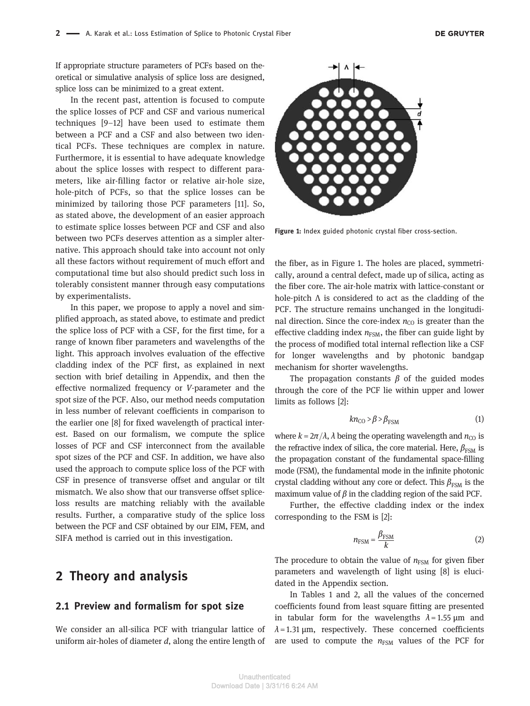If appropriate structure parameters of PCFs based on theoretical or simulative analysis of splice loss are designed, splice loss can be minimized to a great extent.

In the recent past, attention is focused to compute the splice losses of PCF and CSF and various numerical techniques [9–12] have been used to estimate them between a PCF and a CSF and also between two identical PCFs. These techniques are complex in nature. Furthermore, it is essential to have adequate knowledge about the splice losses with respect to different parameters, like air-filling factor or relative air-hole size, hole-pitch of PCFs, so that the splice losses can be minimized by tailoring those PCF parameters [11]. So, as stated above, the development of an easier approach to estimate splice losses between PCF and CSF and also between two PCFs deserves attention as a simpler alternative. This approach should take into account not only all these factors without requirement of much effort and computational time but also should predict such loss in tolerably consistent manner through easy computations by experimentalists.

In this paper, we propose to apply a novel and simplified approach, as stated above, to estimate and predict the splice loss of PCF with a CSF, for the first time, for a range of known fiber parameters and wavelengths of the light. This approach involves evaluation of the effective cladding index of the PCF first, as explained in next section with brief detailing in Appendix, and then the effective normalized frequency or V-parameter and the spot size of the PCF. Also, our method needs computation in less number of relevant coefficients in comparison to the earlier one [8] for fixed wavelength of practical interest. Based on our formalism, we compute the splice losses of PCF and CSF interconnect from the available spot sizes of the PCF and CSF. In addition, we have also used the approach to compute splice loss of the PCF with CSF in presence of transverse offset and angular or tilt mismatch. We also show that our transverse offset spliceloss results are matching reliably with the available results. Further, a comparative study of the splice loss between the PCF and CSF obtained by our EIM, FEM, and SIFA method is carried out in this investigation.

# 2 Theory and analysis

#### 2.1 Preview and formalism for spot size

We consider an all-silica PCF with triangular lattice of uniform air-holes of diameter  $d$ , along the entire length of



Figure 1: Index guided photonic crystal fiber cross-section.

the fiber, as in Figure 1. The holes are placed, symmetrically, around a central defect, made up of silica, acting as the fiber core. The air-hole matrix with lattice-constant or hole-pitch Λ is considered to act as the cladding of the PCF. The structure remains unchanged in the longitudinal direction. Since the core-index  $n_{\text{CO}}$  is greater than the effective cladding index  $n_{FSM}$ , the fiber can guide light by the process of modified total internal reflection like a CSF for longer wavelengths and by photonic bandgap mechanism for shorter wavelengths.

The propagation constants  $\beta$  of the guided modes through the core of the PCF lie within upper and lower limits as follows [2]:

$$
kn_{\rm CO} > \beta > \beta_{\rm FSM} \tag{1}
$$

where  $k = 2\pi/\lambda$ ,  $\lambda$  being the operating wavelength and  $n_{\text{CO}}$  is the refractive index of silica, the core material. Here,  $\beta_{\text{FSM}}$  is the propagation constant of the fundamental space-filling mode (FSM), the fundamental mode in the infinite photonic crystal cladding without any core or defect. This  $\beta_{FSM}$  is the maximum value of  $\beta$  in the cladding region of the said PCF.

Further, the effective cladding index or the index corresponding to the FSM is [2]:

$$
n_{\text{FSM}} = \frac{\beta_{\text{FSM}}}{k} \tag{2}
$$

The procedure to obtain the value of  $n_{FSM}$  for given fiber parameters and wavelength of light using [8] is elucidated in the Appendix section.

In Tables 1 and 2, all the values of the concerned coefficients found from least square fitting are presented in tabular form for the wavelengths  $\lambda = 1.55 \mu m$  and  $\lambda$  = 1.31  $\mu$ m, respectively. These concerned coefficients are used to compute the  $n_{FSM}$  values of the PCF for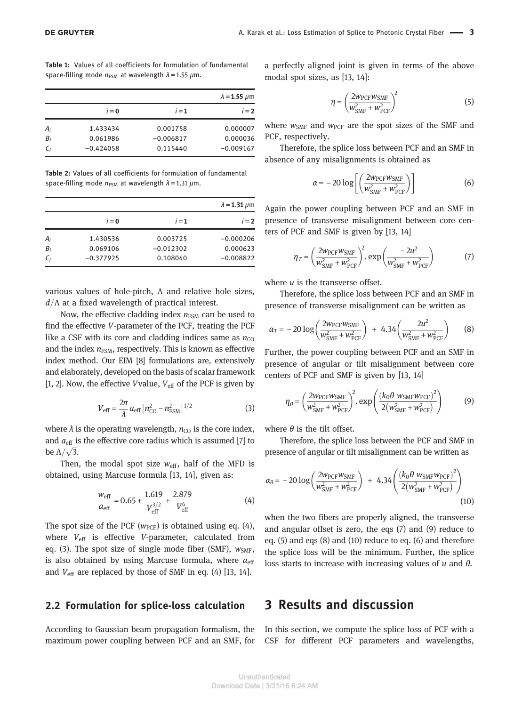Table 1: Values of all coefficients for formulation of fundamental space-filling mode  $n_{FSM}$  at wavelength  $\lambda$  = 1.55  $\mu$ m.

|       |             |             | $\lambda$ = 1.55 $\mu$ m |  |
|-------|-------------|-------------|--------------------------|--|
|       | $i = 0$     | $i=1$       | $i=2$                    |  |
| $A_i$ | 1.433434    | 0.001758    | 0.000007                 |  |
| $B_i$ | 0.061986    | $-0.006817$ | 0.000036                 |  |
| $C_i$ | $-0.424058$ | 0.115440    | $-0.009167$              |  |

Table 2: Values of all coefficients for formulation of fundamental space-filling mode  $n_{FSM}$  at wavelength  $\lambda = 1.31 \ \mu m$ .

|       |             |             | $\lambda$ = 1.31 $\mu$ m |
|-------|-------------|-------------|--------------------------|
|       | $i = 0$     | $i=1$       | $i = 2$                  |
| $A_i$ | 1.430536    | 0.003725    | $-0.000206$              |
| $B_i$ | 0.069106    | $-0.012302$ | 0.000623                 |
| $C_i$ | $-0.377925$ | 0.108040    | $-0.008822$              |

various values of hole-pitch, Λ and relative hole sizes,  $d/\Lambda$  at a fixed wavelength of practical interest.

Now, the effective cladding index  $n_{FSM}$  can be used to find the effective V-parameter of the PCF, treating the PCF like a CSF with its core and cladding indices same as  $n_{\text{CO}}$ and the index  $n_{FSM}$ , respectively. This is known as effective index method. Our EIM [8] formulations are, extensively and elaborately, developed on the basis of scalar framework [1, 2]. Now, the effective *V* value,  $V_{\text{eff}}$  of the PCF is given by

$$
V_{\rm eff} = \frac{2\pi}{\lambda} a_{\rm eff} \left[ n_{\rm CO}^2 - n_{\rm FSM}^2 \right]^{1/2} \tag{3}
$$

where  $\lambda$  is the operating wavelength,  $n_{\text{CO}}$  is the core index, and  $a_{\text{eff}}$  is the effective core radius which is assumed [7] to be  $\Lambda/\sqrt{3}$ .

Then, the modal spot size  $w_{\text{eff}}$ , half of the MFD is obtained, using Marcuse formula [13, 14], given as:

$$
\frac{W_{\text{eff}}}{a_{\text{eff}}} = 0.65 + \frac{1.619}{V_{\text{eff}}^{3/2}} + \frac{2.879}{V_{\text{eff}}^{6}} \tag{4}
$$

The spot size of the PCF ( $w_{PCF}$ ) is obtained using eq. (4), where  $V_{\text{eff}}$  is effective V-parameter, calculated from eq. (3). The spot size of single mode fiber (SMF),  $w_{SMF}$ , is also obtained by using Marcuse formula, where  $a_{\text{eff}}$ and  $V_{\text{eff}}$  are replaced by those of SMF in eq. (4) [13, 14].

#### 2.2 Formulation for splice-loss calculation

According to Gaussian beam propagation formalism, the maximum power coupling between PCF and an SMF, for a perfectly aligned joint is given in terms of the above modal spot sizes, as [13, 14]:

$$
\eta = \left(\frac{2w_{\text{PCF}}w_{\text{SMF}}}{w_{\text{SMF}}^2 + w_{\text{PCF}}^2}\right)^2\tag{5}
$$

where  $w_{\text{SMF}}$  and  $w_{\text{PCF}}$  are the spot sizes of the SMF and PCF, respectively.

Therefore, the splice loss between PCF and an SMF in absence of any misalignments is obtained as

$$
\alpha = -20 \log \left[ \left( \frac{2 w_{\text{PCF}} w_{\text{SMF}}}{w_{\text{SMF}}^2 + w_{\text{PCF}}^2} \right) \right]
$$
 (6)

Again the power coupling between PCF and an SMF in presence of transverse misalignment between core centers of PCF and SMF is given by [13, 14]

$$
\eta_T = \left(\frac{2w_{\text{PCF}}w_{\text{SMF}}}{w_{\text{SMF}}^2 + w_{\text{PCF}}^2}\right)^2 \exp\left(\frac{-2u^2}{w_{\text{SMF}}^2 + w_{\text{PCF}}^2}\right) \tag{7}
$$

where  $u$  is the transverse offset.

Therefore, the splice loss between PCF and an SMF in presence of transverse misalignment can be written as

$$
\alpha_T = -20 \log \left( \frac{2 w_{\text{PCF}} w_{\text{SMF}}}{w_{\text{SMF}}^2 + w_{\text{PCF}}^2} \right) + 4.34 \left( \frac{2 u^2}{w_{\text{SMF}}^2 + w_{\text{PCF}}^2} \right) \tag{8}
$$

Further, the power coupling between PCF and an SMF in presence of angular or tilt misalignment between core centers of PCF and SMF is given by [13, 14]

$$
\eta_{\theta} = \left(\frac{2w_{\text{PCF}}w_{\text{SMF}}}{w_{\text{SMF}}^2 + w_{\text{PCF}}^2}\right)^2 \exp\left(\frac{(k_0 \theta w_{\text{SMF}}w_{\text{PCF}})^2}{2(w_{\text{SMF}}^2 + w_{\text{PCF}}^2)}\right) \tag{9}
$$

where  $\theta$  is the tilt offset.

Therefore, the splice loss between the PCF and SMF in presence of angular or tilt misalignment can be written as

$$
\alpha_{\theta} = -20 \log \left( \frac{2 w_{\text{PCF}} w_{\text{SMF}}}{w_{\text{SMF}}^2 + w_{\text{PCF}}^2} \right) + 4.34 \left( \frac{\left( k_0 \theta w_{\text{SMF}} w_{\text{PCF}} \right)^2}{2 \left( w_{\text{SMF}}^2 + w_{\text{PCF}}^2 \right)} \right)
$$
\n(10)

when the two fibers are properly aligned, the transverse and angular offset is zero, the eqs (7) and (9) reduce to eq. (5) and eqs (8) and (10) reduce to eq. (6) and therefore the splice loss will be the minimum. Further, the splice loss starts to increase with increasing values of  $u$  and  $\theta$ .

### 3 Results and discussion

In this section, we compute the splice loss of PCF with a CSF for different PCF parameters and wavelengths,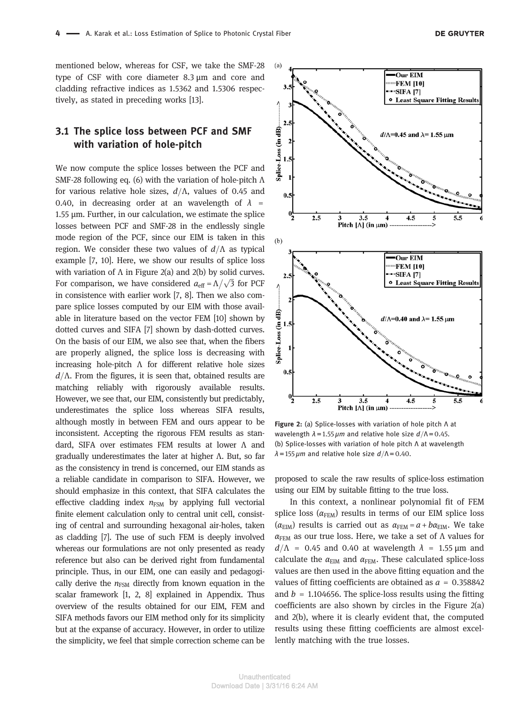mentioned below, whereas for CSF, we take the SMF-28 type of CSF with core diameter 8.3 μm and core and cladding refractive indices as 1.5362 and 1.5306 respectively, as stated in preceding works [13].

#### 3.1 The splice loss between PCF and SMF with variation of hole-pitch

We now compute the splice losses between the PCF and SMF-28 following eq. (6) with the variation of hole-pitch Λ for various relative hole sizes,  $d/\Lambda$ , values of 0.45 and 0.40, in decreasing order at an wavelength of  $\lambda$  = 1.55 μm. Further, in our calculation, we estimate the splice losses between PCF and SMF-28 in the endlessly single mode region of the PCF, since our EIM is taken in this region. We consider these two values of  $d/\Lambda$  as typical example [7, 10]. Here, we show our results of splice loss with variation of  $\Lambda$  in Figure 2(a) and 2(b) by solid curves. For comparison, we have considered  $a_{\text{eff}} = \Lambda / \sqrt{3}$  for PCF in consistence with earlier work [7, 8]. Then we also compare splice losses computed by our EIM with those available in literature based on the vector FEM [10] shown by dotted curves and SIFA [7] shown by dash-dotted curves. On the basis of our EIM, we also see that, when the fibers are properly aligned, the splice loss is decreasing with increasing hole-pitch  $\Lambda$  for different relative hole sizes  $d/\Lambda$ . From the figures, it is seen that, obtained results are matching reliably with rigorously available results. However, we see that, our EIM, consistently but predictably, underestimates the splice loss whereas SIFA results, although mostly in between FEM and ours appear to be inconsistent. Accepting the rigorous FEM results as standard, SIFA over estimates FEM results at lower Λ and gradually underestimates the later at higher Λ. But, so far as the consistency in trend is concerned, our EIM stands as a reliable candidate in comparison to SIFA. However, we should emphasize in this context, that SIFA calculates the effective cladding index  $n_{FSM}$  by applying full vectorial finite element calculation only to central unit cell, consisting of central and surrounding hexagonal air-holes, taken as cladding [7]. The use of such FEM is deeply involved whereas our formulations are not only presented as ready reference but also can be derived right from fundamental principle. Thus, in our EIM, one can easily and pedagogically derive the  $n_{FSM}$  directly from known equation in the scalar framework [1, 2, 8] explained in Appendix. Thus overview of the results obtained for our EIM, FEM and SIFA methods favors our EIM method only for its simplicity but at the expanse of accuracy. However, in order to utilize the simplicity, we feel that simple correction scheme can be



Figure 2: (a) Splice-losses with variation of hole pitch Λ at wavelength  $\lambda = 1.55 \,\mu m$  and relative hole size  $d/\Lambda = 0.45$ . (b) Splice-losses with variation of hole pitch Λ at wavelength  $\lambda = 155 \,\mu m$  and relative hole size  $d/\Lambda = 0.40$ .

proposed to scale the raw results of splice-loss estimation using our EIM by suitable fitting to the true loss.

In this context, a nonlinear polynomial fit of FEM splice loss ( $\alpha$ <sub>FEM</sub>) results in terms of our EIM splice loss ( $\alpha$ <sub>EIM</sub>) results is carried out as  $\alpha$ <sub>FEM</sub> =  $a + b\alpha$ <sub>EIM</sub>. We take  $\alpha_{\text{FEM}}$  as our true loss. Here, we take a set of  $\Lambda$  values for  $d/\Lambda$  = 0.45 and 0.40 at wavelength  $\lambda$  = 1.55 μm and calculate the  $\alpha_{\text{EIM}}$  and  $\alpha_{\text{FEM}}$ . These calculated splice-loss values are then used in the above fitting equation and the values of fitting coefficients are obtained as  $a = 0.358842$ and  $b = 1.104656$ . The splice-loss results using the fitting coefficients are also shown by circles in the Figure 2(a) and 2(b), where it is clearly evident that, the computed results using these fitting coefficients are almost excellently matching with the true losses.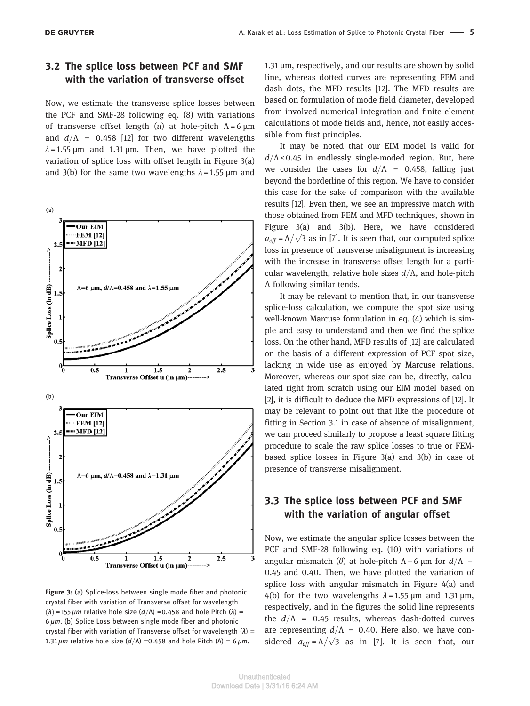#### 3.2 The splice loss between PCF and SMF with the variation of transverse offset

Now, we estimate the transverse splice losses between the PCF and SMF-28 following eq. (8) with variations of transverse offset length  $(u)$  at hole-pitch  $\Lambda = 6 \mu m$ and  $d/\Lambda$  = 0.458 [12] for two different wavelengths  $\lambda$  = 1.55  $\mu$ m and 1.31  $\mu$ m. Then, we have plotted the variation of splice loss with offset length in Figure 3(a) and 3(b) for the same two wavelengths  $\lambda$  = 1.55 µm and



Figure 3: (a) Splice-loss between single mode fiber and photonic crystal fiber with variation of Transverse offset for wavelength  $(\lambda)$  = 155 μm relative hole size  $(d/\Lambda)$  =0.458 and hole Pitch  $(\lambda)$  =  $6 \mu m$ . (b) Splice Loss between single mode fiber and photonic crystal fiber with variation of Transverse offset for wavelength  $(\lambda)$  = 1.31  $\mu$ m relative hole size ( $d/\Lambda$ ) =0.458 and hole Pitch ( $\Lambda$ ) = 6  $\mu$ m.

1.31 μm, respectively, and our results are shown by solid line, whereas dotted curves are representing FEM and dash dots, the MFD results [12]. The MFD results are based on formulation of mode field diameter, developed from involved numerical integration and finite element calculations of mode fields and, hence, not easily accessible from first principles.

It may be noted that our EIM model is valid for  $d/\Lambda \leq 0.45$  in endlessly single-moded region. But, here we consider the cases for  $d/\Lambda$  = 0.458, falling just beyond the borderline of this region. We have to consider this case for the sake of comparison with the available results [12]. Even then, we see an impressive match with those obtained from FEM and MFD techniques, shown in Figure 3(a) and 3(b). Here, we have considered  $a_{\text{eff}} = \Lambda/\sqrt{3}$  as in [7]. It is seen that, our computed splice loss in presence of transverse misalignment is increasing with the increase in transverse offset length for a particular wavelength, relative hole sizes  $d/\Lambda$ , and hole-pitch Λ following similar tends.

It may be relevant to mention that, in our transverse splice-loss calculation, we compute the spot size using well-known Marcuse formulation in eq. (4) which is simple and easy to understand and then we find the splice loss. On the other hand, MFD results of [12] are calculated on the basis of a different expression of PCF spot size, lacking in wide use as enjoyed by Marcuse relations. Moreover, whereas our spot size can be, directly, calculated right from scratch using our EIM model based on [2], it is difficult to deduce the MFD expressions of [12]. It may be relevant to point out that like the procedure of fitting in Section 3.1 in case of absence of misalignment, we can proceed similarly to propose a least square fitting procedure to scale the raw splice losses to true or FEMbased splice losses in Figure 3(a) and 3(b) in case of presence of transverse misalignment.

#### 3.3 The splice loss between PCF and SMF with the variation of angular offset

Now, we estimate the angular splice losses between the PCF and SMF-28 following eq. (10) with variations of angular mismatch (θ) at hole-pitch  $Λ = 6 \mu m$  for  $d/Λ$  = 0.45 and 0.40. Then, we have plotted the variation of splice loss with angular mismatch in Figure 4(a) and 4(b) for the two wavelengths  $\lambda$  = 1.55 µm and 1.31 µm, respectively, and in the figures the solid line represents the  $d/\Lambda$  = 0.45 results, whereas dash-dotted curves are representing  $d/\Lambda = 0.40$ . Here also, we have considered  $a_{eff} = \Lambda / \sqrt{3}$  as in [7]. It is seen that, our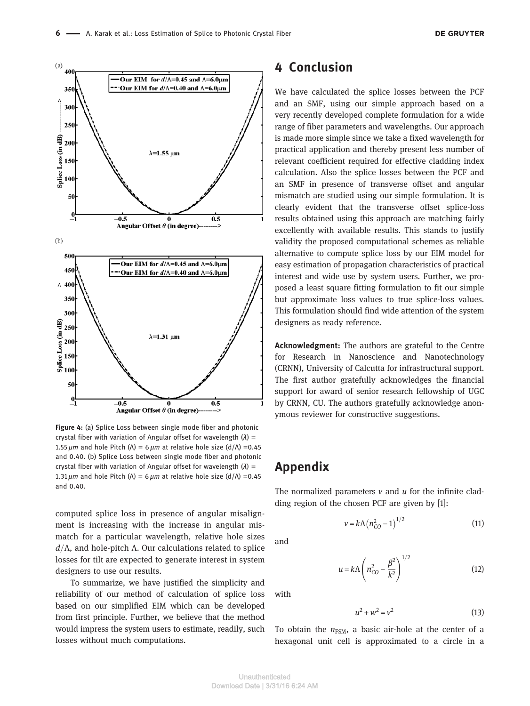

Figure 4: (a) Splice Loss between single mode fiber and photonic crystal fiber with variation of Angular offset for wavelength  $(\lambda)$  = 1.55  $\mu$ m and hole Pitch ( $\Lambda$ ) = 6  $\mu$ m at relative hole size (d/ $\Lambda$ ) =0.45 and 0.40. (b) Splice Loss between single mode fiber and photonic crystal fiber with variation of Angular offset for wavelength  $(\lambda)$  = 1.31  $\mu$ m and hole Pitch (Λ) = 6  $\mu$ m at relative hole size (d/Λ) =0.45 and 0.40.

computed splice loss in presence of angular misalignment is increasing with the increase in angular mismatch for a particular wavelength, relative hole sizes  $d/\Lambda$ , and hole-pitch  $\Lambda$ . Our calculations related to splice losses for tilt are expected to generate interest in system designers to use our results.

To summarize, we have justified the simplicity and reliability of our method of calculation of splice loss based on our simplified EIM which can be developed from first principle. Further, we believe that the method would impress the system users to estimate, readily, such losses without much computations.

# 4 Conclusion

We have calculated the splice losses between the PCF and an SMF, using our simple approach based on a very recently developed complete formulation for a wide range of fiber parameters and wavelengths. Our approach is made more simple since we take a fixed wavelength for practical application and thereby present less number of relevant coefficient required for effective cladding index calculation. Also the splice losses between the PCF and an SMF in presence of transverse offset and angular mismatch are studied using our simple formulation. It is clearly evident that the transverse offset splice-loss results obtained using this approach are matching fairly excellently with available results. This stands to justify validity the proposed computational schemes as reliable alternative to compute splice loss by our EIM model for easy estimation of propagation characteristics of practical interest and wide use by system users. Further, we proposed a least square fitting formulation to fit our simple but approximate loss values to true splice-loss values. This formulation should find wide attention of the system designers as ready reference.

Acknowledgment: The authors are grateful to the Centre for Research in Nanoscience and Nanotechnology (CRNN), University of Calcutta for infrastructural support. The first author gratefully acknowledges the financial support for award of senior research fellowship of UGC by CRNN, CU. The authors gratefully acknowledge anonymous reviewer for constructive suggestions.

## Appendix

The normalized parameters  $v$  and  $u$  for the infinite cladding region of the chosen PCF are given by [1]:

and

with

$$
v = k \Lambda (n_{CO}^2 - 1)^{1/2}
$$
 (11)

$$
u = k \Lambda \left( n_{CO}^2 - \frac{\beta^2}{k^2} \right)^{1/2}
$$
 (12)

$$
u^2 + w^2 = v^2
$$

(13)

To obtain the  $n_{FSM}$ , a basic air-hole at the center of a hexagonal unit cell is approximated to a circle in a